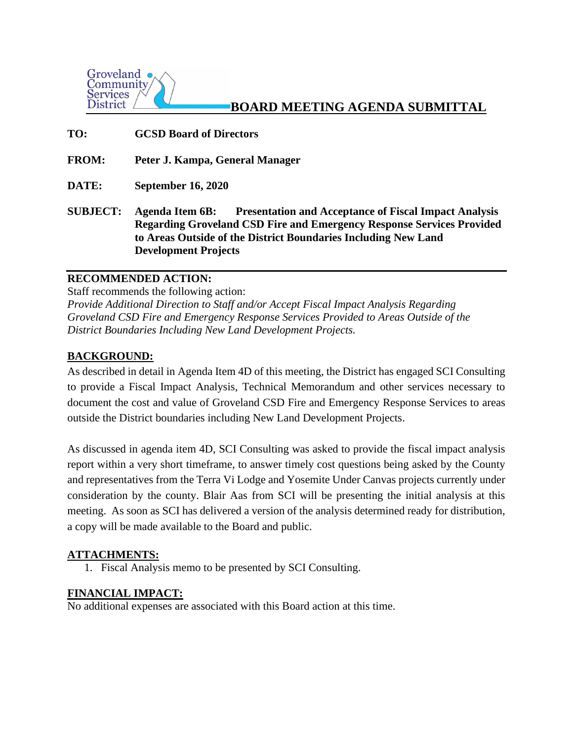

# **BOARD MEETING AGENDA SUBMITTAL**

- **TO: GCSD Board of Directors**
- **FROM: Peter J. Kampa, General Manager**
- **DATE: September 16, 2020**
- **SUBJECT: Agenda Item 6B: Presentation and Acceptance of Fiscal Impact Analysis Regarding Groveland CSD Fire and Emergency Response Services Provided to Areas Outside of the District Boundaries Including New Land Development Projects**

## **RECOMMENDED ACTION:**

Staff recommends the following action: *Provide Additional Direction to Staff and/or Accept Fiscal Impact Analysis Regarding Groveland CSD Fire and Emergency Response Services Provided to Areas Outside of the District Boundaries Including New Land Development Projects.* 

#### **BACKGROUND:**

As described in detail in Agenda Item 4D of this meeting, the District has engaged SCI Consulting to provide a Fiscal Impact Analysis, Technical Memorandum and other services necessary to document the cost and value of Groveland CSD Fire and Emergency Response Services to areas outside the District boundaries including New Land Development Projects.

As discussed in agenda item 4D, SCI Consulting was asked to provide the fiscal impact analysis report within a very short timeframe, to answer timely cost questions being asked by the County and representatives from the Terra Vi Lodge and Yosemite Under Canvas projects currently under consideration by the county. Blair Aas from SCI will be presenting the initial analysis at this meeting. As soon as SCI has delivered a version of the analysis determined ready for distribution, a copy will be made available to the Board and public.

#### **ATTACHMENTS:**

1. Fiscal Analysis memo to be presented by SCI Consulting.

#### **FINANCIAL IMPACT:**

No additional expenses are associated with this Board action at this time.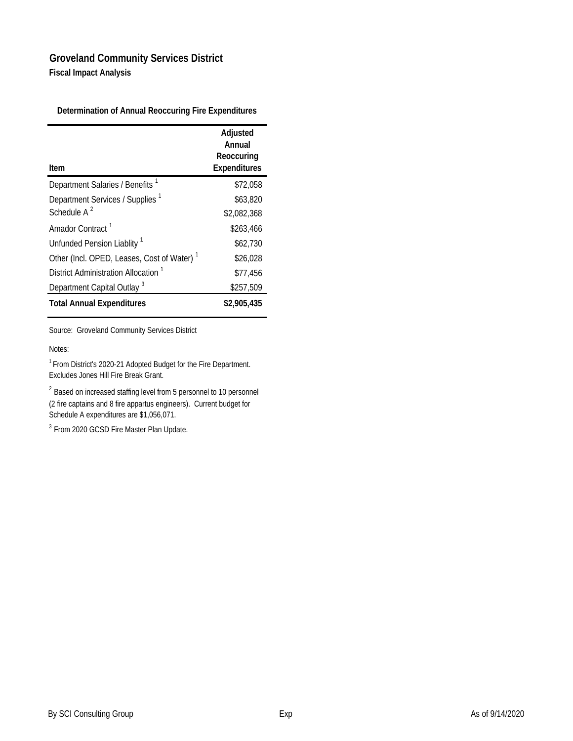### **Groveland Community Services District Fiscal Impact Analysis**

**Determination of Annual Reoccuring Fire Expenditures**

| Item                                                   | Adjusted<br>Annual<br>Reoccuring<br><b>Expenditures</b> |
|--------------------------------------------------------|---------------------------------------------------------|
| Department Salaries / Benefits 1                       | \$72.058                                                |
|                                                        |                                                         |
| Department Services / Supplies <sup>1</sup>            | \$63,820                                                |
| Schedule $A^2$                                         | \$2,082,368                                             |
| Amador Contract <sup>1</sup>                           | \$263,466                                               |
| Unfunded Pension Liablity <sup>1</sup>                 | \$62,730                                                |
| Other (Incl. OPED, Leases, Cost of Water) <sup>1</sup> | \$26,028                                                |
| District Administration Allocation <sup>1</sup>        | \$77.456                                                |
| Department Capital Outlay <sup>3</sup>                 | \$257,509                                               |
| <b>Total Annual Expenditures</b>                       | \$2,905,435                                             |

Source: Groveland Community Services District

#### Notes:

1 From District's 2020-21 Adopted Budget for the Fire Department. Excludes Jones Hill Fire Break Grant.

<sup>2</sup> Based on increased staffing level from 5 personnel to 10 personnel (2 fire captains and 8 fire appartus engineers). Current budget for Schedule A expenditures are \$1,056,071.

<sup>3</sup> From 2020 GCSD Fire Master Plan Update.